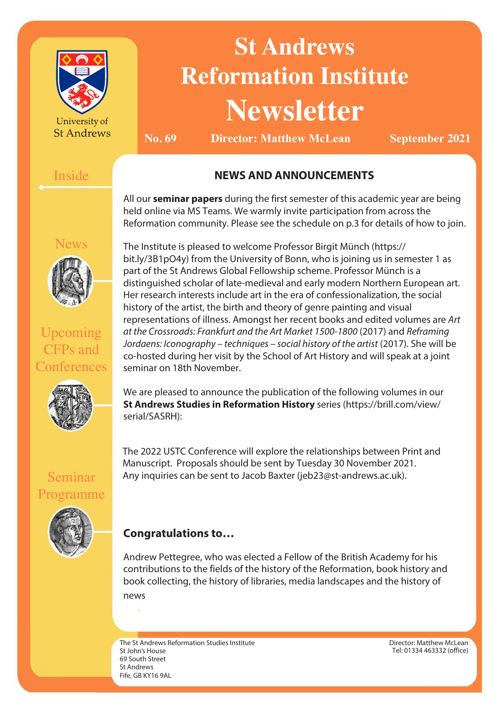

University of **St Andrews** 

# **St Andrews Reformation Institute Newsletter**

**No. 69 Director: Matthew McLean September** 2021

## Inside

## **NEWS AND ANNOUNCEMENTS**

All our **seminar papers** during the first semester of this academic year are being held online via MS Teams. We warmly invite participation from across the Reformation community. Please see the schedule on p.3 for details of how to join.



Upcoming CFPs and **Conferences** 



Seminar

Programme

The Institute is pleased to welcome Professor Birgit Münch (https:// bit.ly/3B1pO4y) from the University of Bonn, who is joining us in semester 1 as part of the St Andrews Global Fellowship scheme. Professor Münch is a distinguished scholar of late-medieval and early modern Northern European art. Her research interests include art in the era of confessionalization, the social history of the artist, the birth and theory of genre painting and visual representations of illness. Amongst her recent books and edited volumes are Art at the Crossroads: Frankfurt and the Art Market 1500-1800 (2017) and Reframing Jordaens: Iconography – techniques – social history of the artist (2017). She will be co-hosted during her visit by the School of Art History and will speak at a joint seminar on 18th November.

We are pleased to announce the publication of the following volumes in our **St Andrews Studies in Reformation History** series (https://brill.com/view/ serial/SASRH):

The 2022 USTC Conference will explore the relationships between Print and Manuscript. Proposals should be sent by Tuesday 30 November 2021. Any inquiries can be sent to Jacob Baxter (jeb23@st-andrews.ac.uk).

# **Congratulations to…**

Andrew Pettegree, who was elected a Fellow of the British Academy for his contributions to the fields of the history of the Reformation, book history and book collecting, the history of libraries, media landscapes and the history of news

The St Andrews Reformation Studies Institute St John's House 69 South Street St Andrews Fife, GB KY16 9AL

Director: Matthew McLean Tel: 01334 463332 (office)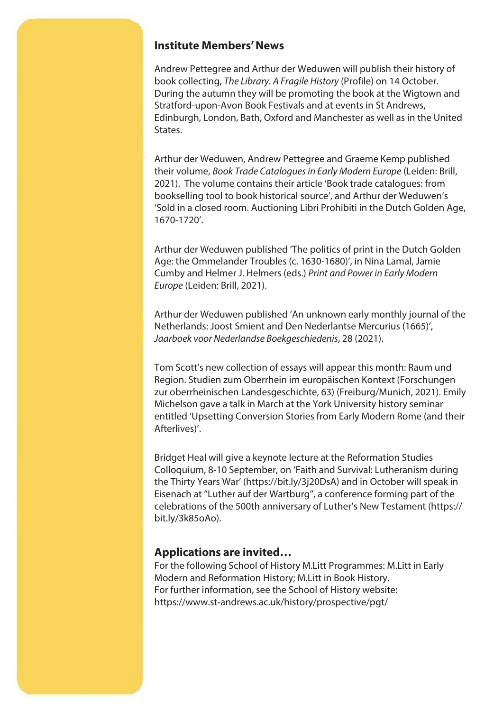#### **Institute Members' News**

Andrew Pettegree and Arthur der Weduwen will publish their history of book collecting, The Library. A Fragile History (Profile) on 14 October. During the autumn they will be promoting the book at the Wigtown and Stratford-upon-Avon Book Festivals and at events in St Andrews, Edinburgh, London, Bath, Oxford and Manchester as well as in the United States.

Arthur der Weduwen, Andrew Pettegree and Graeme Kemp published their volume, Book Trade Catalogues in Early Modern Europe (Leiden: Brill, 2021). The volume contains their article 'Book trade catalogues: from bookselling tool to book historical source', and Arthur der Weduwen's 'Sold in a closed room. Auctioning Libri Prohibiti in the Dutch Golden Age, 1670-1720'.

Arthur der Weduwen published 'The politics of print in the Dutch Golden Age: the Ommelander Troubles (c. 1630-1680)', in Nina Lamal, Jamie Cumby and Helmer J. Helmers (eds.) Print and Power in Early Modern Europe (Leiden: Brill, 2021).

Arthur der Weduwen published 'An unknown early monthly journal of the Netherlands: Joost Smient and Den Nederlantse Mercurius (1665)', Jaarboek voor Nederlandse Boekgeschiedenis, 28 (2021).

Tom Scott's new collection of essays will appear this month: Raum und Region. Studien zum Oberrhein im europäischen Kontext (Forschungen zur oberrheinischen Landesgeschichte, 63) (Freiburg/Munich, 2021). Emily Michelson gave a talk in March at the York University history seminar entitled 'Upsetting Conversion Stories from Early Modern Rome (and their Afterlives)'.

Bridget Heal will give a keynote lecture at the Reformation Studies Colloquium, 8-10 September, on 'Faith and Survival: Lutheranism during the Thirty Years War' (https://bit.ly/3j20DsA) and in October will speak in Eisenach at "Luther auf der Wartburg", a conference forming part of the celebrations of the 500th anniversary of Luther's New Testament (https:// bit.ly/3k85oAo).

### **Applications are invited…**

For the following School of History M.Litt Programmes: M.Litt in Early Modern and Reformation History; M.Litt in Book History. For further information, see the School of History website: https://www.st-andrews.ac.uk/history/prospective/pgt/